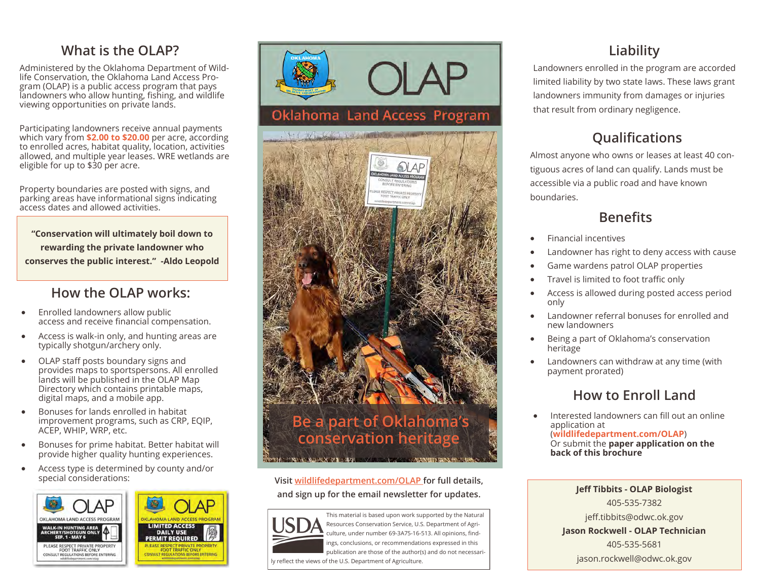#### **What is the OLAP?**

Administered by the Oklahoma Department of Wildlife Conservation, the Oklahoma Land Access Program (OLAP) is a public access program that pays landowners who allow hunting, fishing, and wildlife viewing opportunities on private lands.

Participating landowners receive annual payments which vary from **\$2.00 to \$20.00** per acre, according to enrolled acres, habitat quality, location, activities allowed, and multiple year leases. WRE wetlands are eligible for up to \$30 per acre.

Property boundaries are posted with signs, and parking areas have informational signs indicating access dates and allowed activities.

**"Conservation will ultimately boil down to rewarding the private landowner who conserves the public interest." -Aldo Leopold**

#### **How the OLAP works:**

- Enrolled landowners allow public access and receive financial compensation.
- Access is walk-in only, and hunting areas are typically shotgun/archery only.
- OLAP staff posts boundary signs and provides maps to sportspersons. All enrolled lands will be published in the OLAP Map Directory which contains printable maps, digital maps, and a mobile app.
- Bonuses for lands enrolled in habitat improvement programs, such as CRP, EQIP, ACEP, WHIP, WRP, etc.
- Bonuses for prime habitat. Better habitat will provide higher quality hunting experiences.
- Access type is determined by county and/or special considerations:





This material is based upon work supported by the Natural Resources Conservation Service, U.S. Department of Agriculture, under number 69-3A75-16-513. All opinions, findings, conclusions, or recommendations expressed in this publication are those of the author(s) and do not necessari-

**Oklahoma Land Access Program** 

V. VELLE, Arthur

ly reflect the views of the U.S. Department of Agriculture.

## **Liability**

Landowners enrolled in the program are accorded limited liability by two state laws. These laws grant landowners immunity from damages or injuries that result from ordinary negligence.

## **Qualifications**

Almost anyone who owns or leases at least 40 contiguous acres of land can qualify. Lands must be accessible via a public road and have known boundaries.

#### **Benefits**

- Financial incentives
- Landowner has right to deny access with cause
- Game wardens patrol OLAP properties
- Travel is limited to foot traffic only
- Access is allowed during posted access period only
- Landowner referral bonuses for enrolled and new landowners
- Being a part of Oklahoma's conservation heritage
- Landowners can withdraw at any time (with payment prorated)

### **How to Enroll Land**

• Interested landowners can fill out an online application at (**wildlifedepartment.com/OLAP**) Or submit the **paper application on the back of this brochure**

> **Jeff Tibbits - OLAP Biologist**  405-535-7382 jeff.tibbits@odwc.ok.gov **Jason Rockwell - OLAP Technician** 405-535-5681 jason.rockwell@odwc.ok.gov